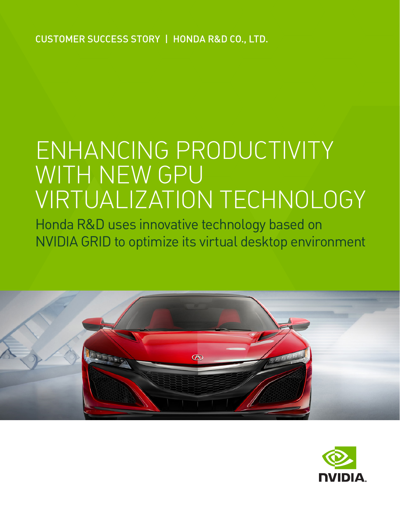CUSTOMER SUCCESS STORY | HONDA R&D CO., LTD.

# ENHANCING PRODUCTIVITY WITH NEW GPU VIRTUALIZATION TECHNOLOGY

Honda R&D uses innovative technology based on NVIDIA GRID to optimize its virtual desktop environment



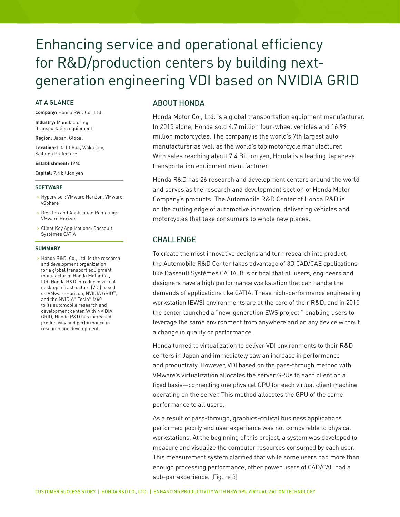# Enhancing service and operational efficiency for R&D/production centers by building nextgeneration engineering VDI based on NVIDIA GRID

#### AT A GLANCE

**Company:** Honda R&D Co., Ltd.

**Industry:** Manufacturing (transportation equipment)

**Region:** Japan, Global

**Location:**1-4-1 Chuo, Wako City, Saitama Prefecture

**Establishment:** 1960

**Capital:** 7.4 billion yen

#### **SOFTWARE**

- > Hypervisor: VMware Horizon, VMware vSphere
- > Desktop and Application Remoting: VMware Horizon
- > Client Key Applications: Dassault Systèmes CATIA

#### **SUMMARY**

> Honda R&D, Co., Ltd. is the research and development organization for a global transport equipment manufacturer, Honda Motor Co., Ltd. Honda R&D introduced virtual desktop infrastructure (VDI) based on VMware Horizon, NVIDIA GRID™ and the NVIDIA® Tesla® M60 to its automobile research and development center. With NVIDIA GRID, Honda R&D has increased productivity and performance in research and development.

### ABOUT HONDA

Honda Motor Co., Ltd. is a global transportation equipment manufacturer. In 2015 alone, Honda sold 4.7 million four-wheel vehicles and 16.99 million motorcycles. The company is the world's 7th largest auto manufacturer as well as the world's top motorcycle manufacturer. With sales reaching about 7.4 Billion yen, Honda is a leading Japanese transportation equipment manufacturer.

Honda R&D has 26 research and development centers around the world and serves as the research and development section of Honda Motor Company's products. The Automobile R&D Center of Honda R&D is on the cutting edge of automotive innovation, delivering vehicles and motorcycles that take consumers to whole new places.

## CHALLENGE

To create the most innovative designs and turn research into product, the Automobile R&D Center takes advantage of 3D CAD/CAE applications like Dassault Systèmes CATIA. It is critical that all users, engineers and designers have a high performance workstation that can handle the demands of applications like CATIA. These high-performance engineering workstation (EWS) environments are at the core of their R&D, and in 2015 the center launched a "new-generation EWS project," enabling users to leverage the same environment from anywhere and on any device without a change in quality or performance.

Honda turned to virtualization to deliver VDI environments to their R&D centers in Japan and immediately saw an increase in performance and productivity. However, VDI based on the pass-through method with VMware's virtualization allocates the server GPUs to each client on a fixed basis—connecting one physical GPU for each virtual client machine operating on the server. This method allocates the GPU of the same performance to all users.

As a result of pass-through, graphics-critical business applications performed poorly and user experience was not comparable to physical workstations. At the beginning of this project, a system was developed to measure and visualize the computer resources consumed by each user. This measurement system clarified that while some users had more than enough processing performance, other power users of CAD/CAE had a sub-par experience. [Figure 3]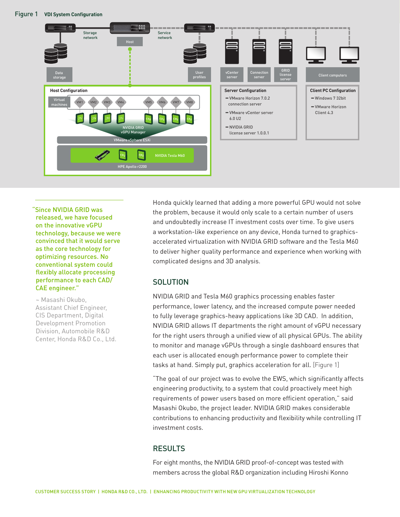

"Since NVIDIA GRID was released, we have focused on the innovative vGPU technology, because we were convinced that it would serve as the core technology for optimizing resources. No conventional system could flexibly allocate processing performance to each CAD/ CAE engineer."

~ Masashi Okubo, Assistant Chief Engineer, CIS Department, Digital Development Promotion Division, Automobile R&D Center, Honda R&D Co., Ltd. Honda quickly learned that adding a more powerful GPU would not solve the problem, because it would only scale to a certain number of users and undoubtedly increase IT investment costs over time. To give users a workstation-like experience on any device, Honda turned to graphicsaccelerated virtualization with NVIDIA GRID software and the Tesla M60 to deliver higher quality performance and experience when working with complicated designs and 3D analysis.

# **SOLUTION**

NVIDIA GRID and Tesla M60 graphics processing enables faster performance, lower latency, and the increased compute power needed to fully leverage graphics-heavy applications like 3D CAD. In addition, NVIDIA GRID allows IT departments the right amount of vGPU necessary for the right users through a unified view of all physical GPUs. The ability to monitor and manage vGPUs through a single dashboard ensures that each user is allocated enough performance power to complete their tasks at hand. Simply put, graphics acceleration for all. [Figure 1]

"The goal of our project was to evolve the EWS, which significantly affects engineering productivity, to a system that could proactively meet high requirements of power users based on more efficient operation," said Masashi Okubo, the project leader. NVIDIA GRID makes considerable contributions to enhancing productivity and flexibility while controlling IT investment costs.

# RESULTS

For eight months, the NVIDIA GRID proof-of-concept was tested with members across the global R&D organization including Hiroshi Konno